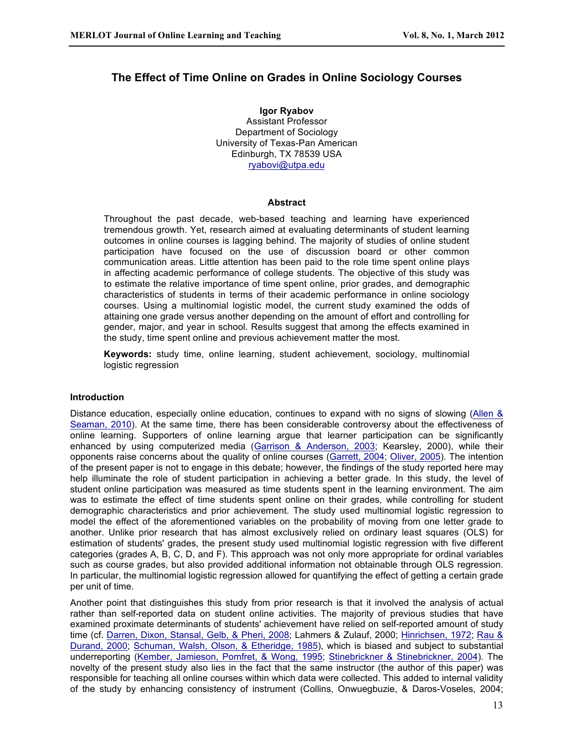# **The Effect of Time Online on Grades in Online Sociology Courses**

**Igor Ryabov** Assistant Professor Department of Sociology University of Texas-Pan American Edinburgh, TX 78539 USA ryabovi@utpa.edu

### **Abstract**

Throughout the past decade, web-based teaching and learning have experienced tremendous growth. Yet, research aimed at evaluating determinants of student learning outcomes in online courses is lagging behind. The majority of studies of online student participation have focused on the use of discussion board or other common communication areas. Little attention has been paid to the role time spent online plays in affecting academic performance of college students. The objective of this study was to estimate the relative importance of time spent online, prior grades, and demographic characteristics of students in terms of their academic performance in online sociology courses. Using a multinomial logistic model, the current study examined the odds of attaining one grade versus another depending on the amount of effort and controlling for gender, major, and year in school. Results suggest that among the effects examined in the study, time spent online and previous achievement matter the most.

**Keywords:** study time, online learning, student achievement, sociology, multinomial logistic regression

#### **Introduction**

Distance education, especially online education, continues to expand with no signs of slowing (Allen & Seaman, 2010). At the same time, there has been considerable controversy about the effectiveness of online learning. Supporters of online learning argue that learner participation can be significantly enhanced by using computerized media (Garrison & Anderson, 2003; Kearsley, 2000), while their opponents raise concerns about the quality of online courses (Garrett, 2004; Oliver, 2005). The intention of the present paper is not to engage in this debate; however, the findings of the study reported here may help illuminate the role of student participation in achieving a better grade. In this study, the level of student online participation was measured as time students spent in the learning environment. The aim was to estimate the effect of time students spent online on their grades, while controlling for student demographic characteristics and prior achievement. The study used multinomial logistic regression to model the effect of the aforementioned variables on the probability of moving from one letter grade to another. Unlike prior research that has almost exclusively relied on ordinary least squares (OLS) for estimation of students' grades, the present study used multinomial logistic regression with five different categories (grades A, B, C, D, and F). This approach was not only more appropriate for ordinal variables such as course grades, but also provided additional information not obtainable through OLS regression. In particular, the multinomial logistic regression allowed for quantifying the effect of getting a certain grade per unit of time.

Another point that distinguishes this study from prior research is that it involved the analysis of actual rather than self-reported data on student online activities. The majority of previous studies that have examined proximate determinants of students' achievement have relied on self-reported amount of study time (cf. Darren, Dixon, Stansal, Gelb, & Pheri, 2008; Lahmers & Zulauf, 2000; Hinrichsen, 1972; Rau & Durand, 2000; Schuman, Walsh, Olson, & Etheridge, 1985), which is biased and subject to substantial underreporting (Kember, Jamieson, Pomfret, & Wong, 1995; Stinebrickner & Stinebrickner, 2004). The novelty of the present study also lies in the fact that the same instructor (the author of this paper) was responsible for teaching all online courses within which data were collected. This added to internal validity of the study by enhancing consistency of instrument (Collins, Onwuegbuzie, & Daros-Voseles, 2004;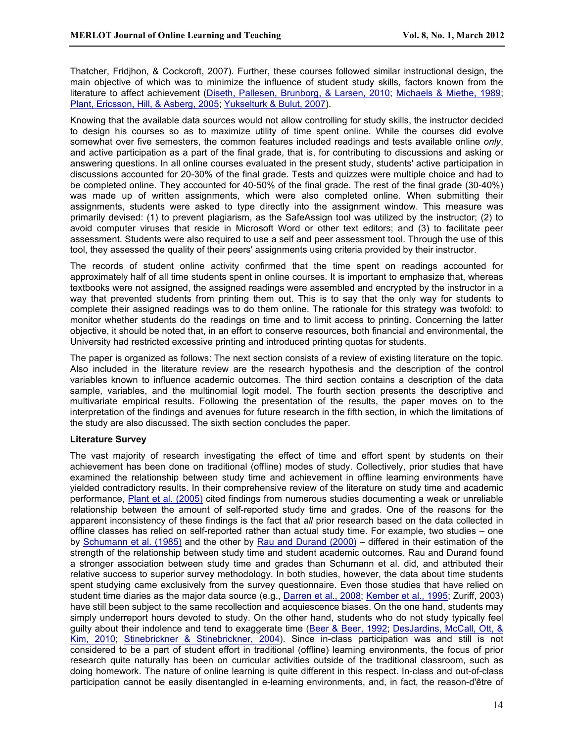Thatcher, Fridjhon, & Cockcroft, 2007). Further, these courses followed similar instructional design, the main objective of which was to minimize the influence of student study skills, factors known from the literature to affect achievement (Diseth, Pallesen, Brunborg, & Larsen, 2010; Michaels & Miethe, 1989; Plant, Ericsson, Hill, & Asberg, 2005; Yukselturk & Bulut, 2007).

Knowing that the available data sources would not allow controlling for study skills, the instructor decided to design his courses so as to maximize utility of time spent online. While the courses did evolve somewhat over five semesters, the common features included readings and tests available online *only*, and active participation as a part of the final grade, that is, for contributing to discussions and asking or answering questions. In all online courses evaluated in the present study, students' active participation in discussions accounted for 20-30% of the final grade. Tests and quizzes were multiple choice and had to be completed online. They accounted for 40-50% of the final grade. The rest of the final grade (30-40%) was made up of written assignments, which were also completed online. When submitting their assignments, students were asked to type directly into the assignment window. This measure was primarily devised: (1) to prevent plagiarism, as the SafeAssign tool was utilized by the instructor; (2) to avoid computer viruses that reside in Microsoft Word or other text editors; and (3) to facilitate peer assessment. Students were also required to use a self and peer assessment tool. Through the use of this tool, they assessed the quality of their peers' assignments using criteria provided by their instructor.

The records of student online activity confirmed that the time spent on readings accounted for approximately half of all time students spent in online courses. It is important to emphasize that, whereas textbooks were not assigned, the assigned readings were assembled and encrypted by the instructor in a way that prevented students from printing them out. This is to say that the only way for students to complete their assigned readings was to do them online. The rationale for this strategy was twofold: to monitor whether students do the readings on time and to limit access to printing. Concerning the latter objective, it should be noted that, in an effort to conserve resources, both financial and environmental, the University had restricted excessive printing and introduced printing quotas for students.

The paper is organized as follows: The next section consists of a review of existing literature on the topic. Also included in the literature review are the research hypothesis and the description of the control variables known to influence academic outcomes. The third section contains a description of the data sample, variables, and the multinomial logit model. The fourth section presents the descriptive and multivariate empirical results. Following the presentation of the results, the paper moves on to the interpretation of the findings and avenues for future research in the fifth section, in which the limitations of the study are also discussed. The sixth section concludes the paper.

# **Literature Survey**

The vast majority of research investigating the effect of time and effort spent by students on their achievement has been done on traditional (offline) modes of study. Collectively, prior studies that have examined the relationship between study time and achievement in offline learning environments have yielded contradictory results. In their comprehensive review of the literature on study time and academic performance, Plant et al. (2005) cited findings from numerous studies documenting a weak or unreliable relationship between the amount of self-reported study time and grades. One of the reasons for the apparent inconsistency of these findings is the fact that *all* prior research based on the data collected in offline classes has relied on self-reported rather than actual study time. For example, two studies – one by Schumann et al. (1985) and the other by Rau and Durand (2000) – differed in their estimation of the strength of the relationship between study time and student academic outcomes. Rau and Durand found a stronger association between study time and grades than Schumann et al. did, and attributed their relative success to superior survey methodology. In both studies, however, the data about time students spent studying came exclusively from the survey questionnaire. Even those studies that have relied on student time diaries as the major data source (e.g., Darren et al., 2008; Kember et al., 1995; Zuriff, 2003) have still been subject to the same recollection and acquiescence biases. On the one hand, students may simply underreport hours devoted to study. On the other hand, students who do not study typically feel guilty about their indolence and tend to exaggerate time (Beer & Beer, 1992; DesJardins, McCall, Ott, & Kim, 2010; Stinebrickner & Stinebrickner, 2004). Since in-class participation was and still is not considered to be a part of student effort in traditional (offline) learning environments, the focus of prior research quite naturally has been on curricular activities outside of the traditional classroom, such as doing homework. The nature of online learning is quite different in this respect. In-class and out-of-class participation cannot be easily disentangled in e-learning environments, and, in fact, the reason-d'être of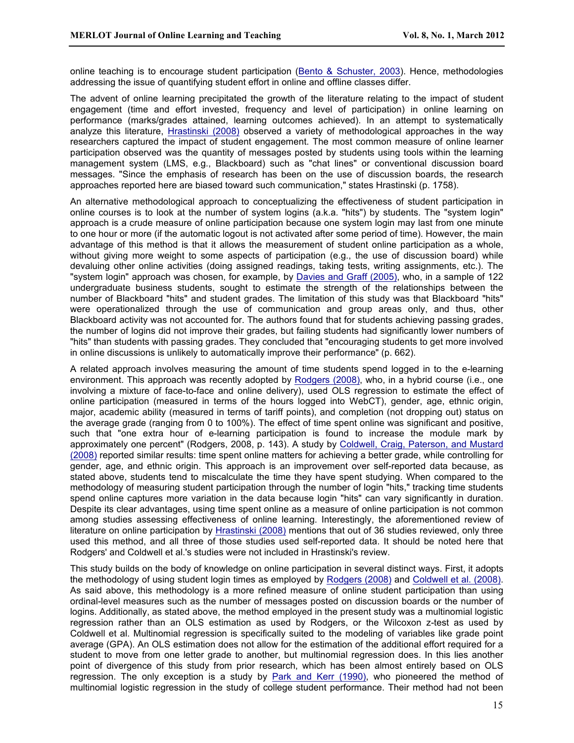online teaching is to encourage student participation (Bento & Schuster, 2003). Hence, methodologies addressing the issue of quantifying student effort in online and offline classes differ.

The advent of online learning precipitated the growth of the literature relating to the impact of student engagement (time and effort invested, frequency and level of participation) in online learning on performance (marks/grades attained, learning outcomes achieved). In an attempt to systematically analyze this literature, Hrastinski (2008) observed a variety of methodological approaches in the way researchers captured the impact of student engagement. The most common measure of online learner participation observed was the quantity of messages posted by students using tools within the learning management system (LMS, e.g., Blackboard) such as "chat lines" or conventional discussion board messages. "Since the emphasis of research has been on the use of discussion boards, the research approaches reported here are biased toward such communication," states Hrastinski (p. 1758).

An alternative methodological approach to conceptualizing the effectiveness of student participation in online courses is to look at the number of system logins (a.k.a. "hits") by students. The "system login" approach is a crude measure of online participation because one system login may last from one minute to one hour or more (if the automatic logout is not activated after some period of time). However, the main advantage of this method is that it allows the measurement of student online participation as a whole, without giving more weight to some aspects of participation (e.g., the use of discussion board) while devaluing other online activities (doing assigned readings, taking tests, writing assignments, etc.). The "system login" approach was chosen, for example, by Davies and Graff (2005), who, in a sample of 122 undergraduate business students, sought to estimate the strength of the relationships between the number of Blackboard "hits" and student grades. The limitation of this study was that Blackboard "hits" were operationalized through the use of communication and group areas only, and thus, other Blackboard activity was not accounted for. The authors found that for students achieving passing grades, the number of logins did not improve their grades, but failing students had significantly lower numbers of "hits" than students with passing grades. They concluded that "encouraging students to get more involved in online discussions is unlikely to automatically improve their performance" (p. 662).

A related approach involves measuring the amount of time students spend logged in to the e-learning environment. This approach was recently adopted by Rodgers (2008), who, in a hybrid course (i.e., one involving a mixture of face-to-face and online delivery), used OLS regression to estimate the effect of online participation (measured in terms of the hours logged into WebCT), gender, age, ethnic origin, major, academic ability (measured in terms of tariff points), and completion (not dropping out) status on the average grade (ranging from 0 to 100%). The effect of time spent online was significant and positive, such that "one extra hour of e-learning participation is found to increase the module mark by approximately one percent" (Rodgers, 2008, p. 143). A study by Coldwell, Craig, Paterson, and Mustard (2008) reported similar results: time spent online matters for achieving a better grade, while controlling for gender, age, and ethnic origin. This approach is an improvement over self-reported data because, as stated above, students tend to miscalculate the time they have spent studying. When compared to the methodology of measuring student participation through the number of login "hits," tracking time students spend online captures more variation in the data because login "hits" can vary significantly in duration. Despite its clear advantages, using time spent online as a measure of online participation is not common among studies assessing effectiveness of online learning. Interestingly, the aforementioned review of literature on online participation by Hrastinski (2008) mentions that out of 36 studies reviewed, only three used this method, and all three of those studies used self-reported data. It should be noted here that Rodgers' and Coldwell et al.'s studies were not included in Hrastinski's review.

This study builds on the body of knowledge on online participation in several distinct ways. First, it adopts the methodology of using student login times as employed by Rodgers (2008) and Coldwell et al. (2008). As said above, this methodology is a more refined measure of online student participation than using ordinal-level measures such as the number of messages posted on discussion boards or the number of logins. Additionally, as stated above, the method employed in the present study was a multinomial logistic regression rather than an OLS estimation as used by Rodgers, or the Wilcoxon z-test as used by Coldwell et al. Multinomial regression is specifically suited to the modeling of variables like grade point average (GPA). An OLS estimation does not allow for the estimation of the additional effort required for a student to move from one letter grade to another, but multinomial regression does. In this lies another point of divergence of this study from prior research, which has been almost entirely based on OLS regression. The only exception is a study by Park and Kerr (1990), who pioneered the method of multinomial logistic regression in the study of college student performance. Their method had not been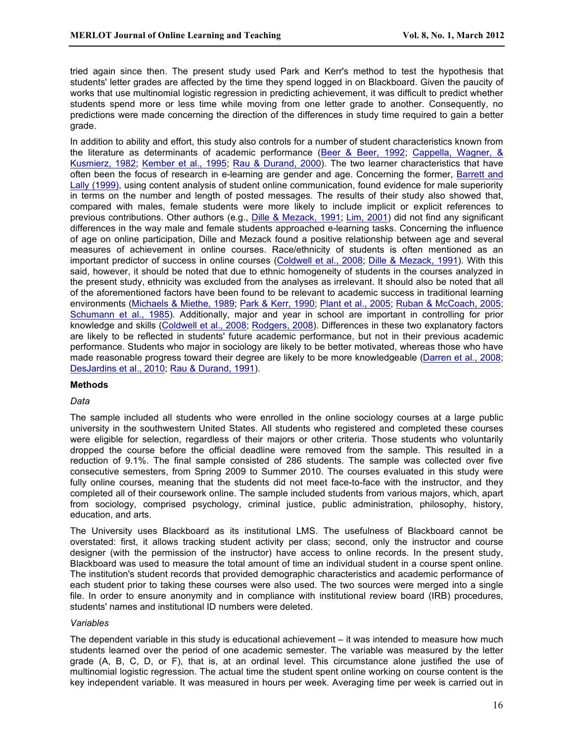tried again since then. The present study used Park and Kerr's method to test the hypothesis that students' letter grades are affected by the time they spend logged in on Blackboard. Given the paucity of works that use multinomial logistic regression in predicting achievement, it was difficult to predict whether students spend more or less time while moving from one letter grade to another. Consequently, no predictions were made concerning the direction of the differences in study time required to gain a better grade.

In addition to ability and effort, this study also controls for a number of student characteristics known from the literature as determinants of academic performance (Beer & Beer, 1992; Cappella, Wagner, & Kusmierz, 1982; Kember et al., 1995; Rau & Durand, 2000). The two learner characteristics that have often been the focus of research in e-learning are gender and age. Concerning the former, Barrett and Lally (1999), using content analysis of student online communication, found evidence for male superiority in terms on the number and length of posted messages. The results of their study also showed that, compared with males, female students were more likely to include implicit or explicit references to previous contributions. Other authors (e.g., Dille & Mezack, 1991; Lim, 2001) did not find any significant differences in the way male and female students approached e-learning tasks. Concerning the influence of age on online participation, Dille and Mezack found a positive relationship between age and several measures of achievement in online courses. Race/ethnicity of students is often mentioned as an important predictor of success in online courses (Coldwell et al., 2008; Dille & Mezack, 1991). With this said, however, it should be noted that due to ethnic homogeneity of students in the courses analyzed in the present study, ethnicity was excluded from the analyses as irrelevant. It should also be noted that all of the aforementioned factors have been found to be relevant to academic success in traditional learning environments (Michaels & Miethe, 1989; Park & Kerr, 1990; Plant et al., 2005; Ruban & McCoach, 2005; Schumann et al., 1985). Additionally, major and year in school are important in controlling for prior knowledge and skills (Coldwell et al., 2008; Rodgers, 2008). Differences in these two explanatory factors are likely to be reflected in students' future academic performance, but not in their previous academic performance. Students who major in sociology are likely to be better motivated, whereas those who have made reasonable progress toward their degree are likely to be more knowledgeable (Darren et al., 2008; DesJardins et al., 2010; Rau & Durand, 1991).

#### **Methods**

#### *Data*

The sample included all students who were enrolled in the online sociology courses at a large public university in the southwestern United States. All students who registered and completed these courses were eligible for selection, regardless of their majors or other criteria. Those students who voluntarily dropped the course before the official deadline were removed from the sample. This resulted in a reduction of 9.1%. The final sample consisted of 286 students. The sample was collected over five consecutive semesters, from Spring 2009 to Summer 2010. The courses evaluated in this study were fully online courses, meaning that the students did not meet face-to-face with the instructor, and they completed all of their coursework online. The sample included students from various majors, which, apart from sociology, comprised psychology, criminal justice, public administration, philosophy, history, education, and arts.

The University uses Blackboard as its institutional LMS. The usefulness of Blackboard cannot be overstated: first, it allows tracking student activity per class; second, only the instructor and course designer (with the permission of the instructor) have access to online records. In the present study, Blackboard was used to measure the total amount of time an individual student in a course spent online. The institution's student records that provided demographic characteristics and academic performance of each student prior to taking these courses were also used. The two sources were merged into a single file. In order to ensure anonymity and in compliance with institutional review board (IRB) procedures, students' names and institutional ID numbers were deleted.

#### *Variables*

The dependent variable in this study is educational achievement – it was intended to measure how much students learned over the period of one academic semester. The variable was measured by the letter grade (A, B, C, D, or F), that is, at an ordinal level. This circumstance alone justified the use of multinomial logistic regression. The actual time the student spent online working on course content is the key independent variable. It was measured in hours per week. Averaging time per week is carried out in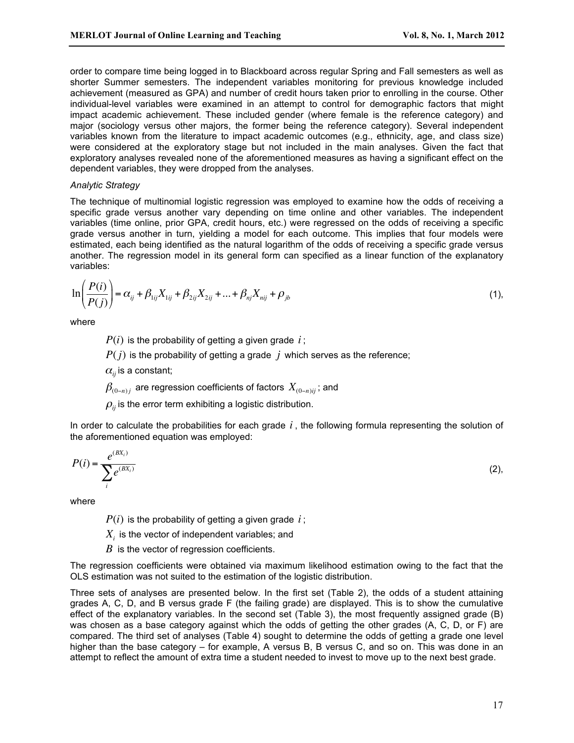order to compare time being logged in to Blackboard across regular Spring and Fall semesters as well as shorter Summer semesters. The independent variables monitoring for previous knowledge included achievement (measured as GPA) and number of credit hours taken prior to enrolling in the course. Other individual-level variables were examined in an attempt to control for demographic factors that might impact academic achievement. These included gender (where female is the reference category) and major (sociology versus other majors, the former being the reference category). Several independent variables known from the literature to impact academic outcomes (e.g., ethnicity, age, and class size) were considered at the exploratory stage but not included in the main analyses. Given the fact that exploratory analyses revealed none of the aforementioned measures as having a significant effect on the dependent variables, they were dropped from the analyses.

## *Analytic Strategy*

The technique of multinomial logistic regression was employed to examine how the odds of receiving a specific grade versus another vary depending on time online and other variables. The independent variables (time online, prior GPA, credit hours, etc.) were regressed on the odds of receiving a specific grade versus another in turn, yielding a model for each outcome. This implies that four models were estimated, each being identified as the natural logarithm of the odds of receiving a specific grade versus another. The regression model in its general form can specified as a linear function of the explanatory variables:

$$
\ln\left(\frac{P(i)}{P(j)}\right) = \alpha_{ij} + \beta_{1ij}X_{1ij} + \beta_{2ij}X_{2ij} + \dots + \beta_{nj}X_{nij} + \rho_{jb}
$$
\n(1),

where

 $P(i)$  is the probability of getting a given grade  $i$ ;

 $P(j)$  is the probability of getting a grade *j* which serves as the reference;

 $\alpha$ <sub>ii</sub> is a constant;

 $\beta_{(0-n)i}$  are regression coefficients of factors  $X_{(0-n)i}$ ; and

 $\rho$ <sub>*ii*</sub> is the error term exhibiting a logistic distribution.

In order to calculate the probabilities for each grade *i* , the following formula representing the solution of the aforementioned equation was employed:

$$
P(i) = \frac{e^{(BX_i)}}{\sum_{i} e^{(BX_i)}}\tag{2},
$$

where

 $P(i)$  is the probability of getting a given grade *i*;

 $X<sub>i</sub>$  is the vector of independent variables; and

*B* is the vector of regression coefficients.

The regression coefficients were obtained via maximum likelihood estimation owing to the fact that the OLS estimation was not suited to the estimation of the logistic distribution.

Three sets of analyses are presented below. In the first set (Table 2), the odds of a student attaining grades A, C, D, and B versus grade F (the failing grade) are displayed. This is to show the cumulative effect of the explanatory variables. In the second set (Table 3), the most frequently assigned grade (B) was chosen as a base category against which the odds of getting the other grades (A, C, D, or F) are compared. The third set of analyses (Table 4) sought to determine the odds of getting a grade one level higher than the base category – for example. A versus B, B versus C, and so on. This was done in an attempt to reflect the amount of extra time a student needed to invest to move up to the next best grade.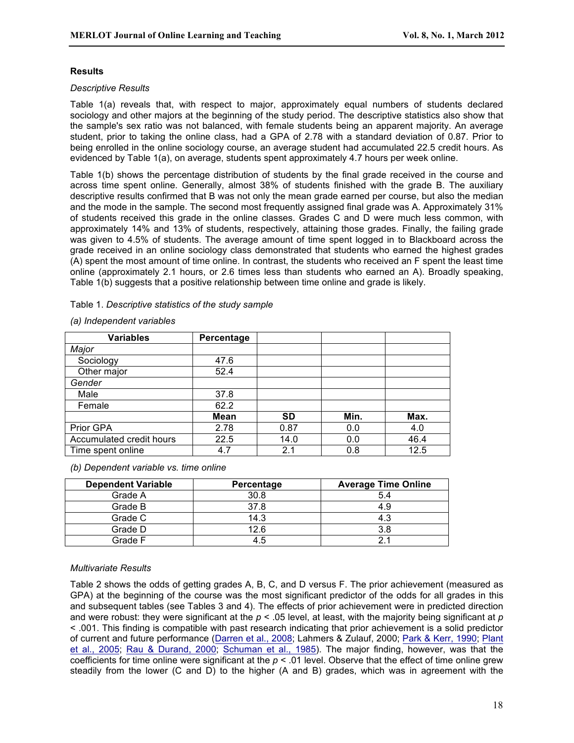## **Results**

### *Descriptive Results*

Table 1(a) reveals that, with respect to major, approximately equal numbers of students declared sociology and other majors at the beginning of the study period. The descriptive statistics also show that the sample's sex ratio was not balanced, with female students being an apparent majority. An average student, prior to taking the online class, had a GPA of 2.78 with a standard deviation of 0.87. Prior to being enrolled in the online sociology course, an average student had accumulated 22.5 credit hours. As evidenced by Table 1(a), on average, students spent approximately 4.7 hours per week online.

Table 1(b) shows the percentage distribution of students by the final grade received in the course and across time spent online. Generally, almost 38% of students finished with the grade B. The auxiliary descriptive results confirmed that B was not only the mean grade earned per course, but also the median and the mode in the sample. The second most frequently assigned final grade was A. Approximately 31% of students received this grade in the online classes. Grades C and D were much less common, with approximately 14% and 13% of students, respectively, attaining those grades. Finally, the failing grade was given to 4.5% of students. The average amount of time spent logged in to Blackboard across the grade received in an online sociology class demonstrated that students who earned the highest grades (A) spent the most amount of time online. In contrast, the students who received an F spent the least time online (approximately 2.1 hours, or 2.6 times less than students who earned an A). Broadly speaking, Table 1(b) suggests that a positive relationship between time online and grade is likely.

## Table 1. *Descriptive statistics of the study sample*

| <b>Variables</b>         | Percentage  |           |      |      |
|--------------------------|-------------|-----------|------|------|
| Major                    |             |           |      |      |
| Sociology                | 47.6        |           |      |      |
| Other major              | 52.4        |           |      |      |
| Gender                   |             |           |      |      |
| Male                     | 37.8        |           |      |      |
| Female                   | 62.2        |           |      |      |
|                          | <b>Mean</b> | <b>SD</b> | Min. | Max. |
| Prior GPA                | 2.78        | 0.87      | 0.0  | 4.0  |
| Accumulated credit hours | 22.5        | 14.0      | 0.0  | 46.4 |
| Time spent online        | 4.7         | 2.1       | 0.8  | 12.5 |

#### *(a) Independent variables*

# *(b) Dependent variable vs. time online*

| <b>Dependent Variable</b> | Percentage | <b>Average Time Online</b> |
|---------------------------|------------|----------------------------|
| Grade A                   | 30.8       | 5.4                        |
| Grade B                   | 37.8       | 4.9                        |
| Grade C                   | 14.3       | 4.3                        |
| Grade D                   | 12.6       | 3.8                        |
| Grade F                   | 45         | 21                         |

# *Multivariate Results*

Table 2 shows the odds of getting grades A, B, C, and D versus F. The prior achievement (measured as GPA) at the beginning of the course was the most significant predictor of the odds for all grades in this and subsequent tables (see Tables 3 and 4). The effects of prior achievement were in predicted direction and were robust: they were significant at the  $p < 0.05$  level, at least, with the majority being significant at p < .001. This finding is compatible with past research indicating that prior achievement is a solid predictor of current and future performance (Darren et al., 2008; Lahmers & Zulauf, 2000; Park & Kerr, 1990; Plant et al., 2005; Rau & Durand, 2000; Schuman et al., 1985). The major finding, however, was that the coefficients for time online were significant at the *p* < .01 level. Observe that the effect of time online grew steadily from the lower (C and D) to the higher (A and B) grades, which was in agreement with the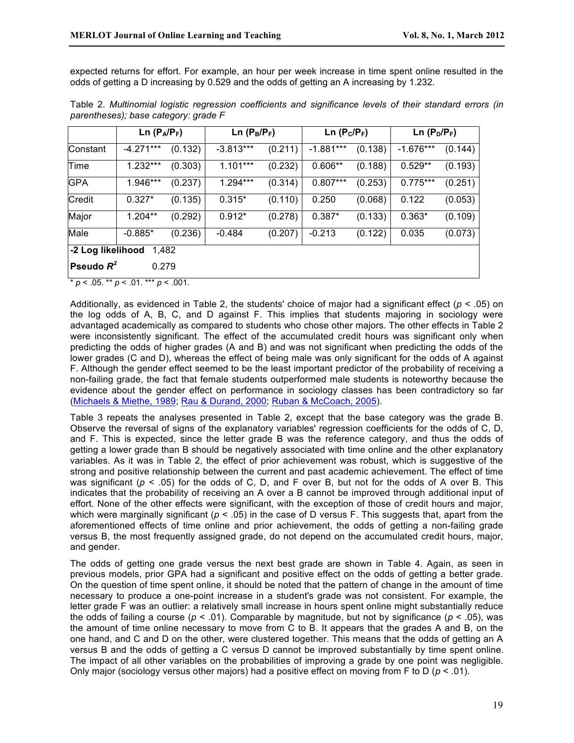expected returns for effort. For example, an hour per week increase in time spent online resulted in the odds of getting a D increasing by 0.529 and the odds of getting an A increasing by 1.232.

|                              | Ln $(P_A/P_F)$ |         | Ln $(P_C/P_F)$<br>$Ln(P_B/P_F)$ |         |             | $Ln(P_D/P_F)$ |             |         |  |
|------------------------------|----------------|---------|---------------------------------|---------|-------------|---------------|-------------|---------|--|
| Constant                     | $-4.271***$    | (0.132) | $-3.813***$                     | (0.211) | $-1.881***$ | (0.138)       | $-1.676***$ | (0.144) |  |
| Time                         | $1.232***$     | (0.303) | $1.101***$                      | (0.232) | $0.606**$   | (0.188)       | $0.529**$   | (0.193) |  |
| <b>GPA</b>                   | 1.946***       | (0.237) | $1.294***$                      | (0.314) | $0.807***$  | (0.253)       | $0.775***$  | (0.251) |  |
| Credit                       | $0.327*$       | (0.135) | $0.315*$                        | (0.110) | 0.250       | (0.068)       | 0.122       | (0.053) |  |
| Major                        | $1.204**$      | (0.292) | $0.912*$                        | (0.278) | $0.387*$    | (0.133)       | $0.363*$    | (0.109) |  |
| Male                         | $-0.885*$      | (0.236) | $-0.484$                        | (0.207) | $-0.213$    | (0.122)       | 0.035       | (0.073) |  |
| -2 Log likelihood 1,482      |                |         |                                 |         |             |               |             |         |  |
| <b>Pseudo</b> $R^2$<br>0.279 |                |         |                                 |         |             |               |             |         |  |

Table 2. *Multinomial logistic regression coefficients and significance levels of their standard errors (in parentheses); base category: grade F*

\* *p* < .05. \*\* *p* < .01. \*\*\* *p* < .001.

Additionally, as evidenced in Table 2, the students' choice of major had a significant effect (*p* < .05) on the log odds of A, B, C, and D against F. This implies that students majoring in sociology were advantaged academically as compared to students who chose other majors. The other effects in Table 2 were inconsistently significant. The effect of the accumulated credit hours was significant only when predicting the odds of higher grades (A and B) and was not significant when predicting the odds of the lower grades (C and D), whereas the effect of being male was only significant for the odds of A against F. Although the gender effect seemed to be the least important predictor of the probability of receiving a non-failing grade, the fact that female students outperformed male students is noteworthy because the evidence about the gender effect on performance in sociology classes has been contradictory so far (Michaels & Miethe, 1989; Rau & Durand, 2000; Ruban & McCoach, 2005).

Table 3 repeats the analyses presented in Table 2, except that the base category was the grade B. Observe the reversal of signs of the explanatory variables' regression coefficients for the odds of C, D, and F. This is expected, since the letter grade B was the reference category, and thus the odds of getting a lower grade than B should be negatively associated with time online and the other explanatory variables. As it was in Table 2, the effect of prior achievement was robust, which is suggestive of the strong and positive relationship between the current and past academic achievement. The effect of time was significant ( $p < .05$ ) for the odds of C, D, and F over B, but not for the odds of A over B. This indicates that the probability of receiving an A over a B cannot be improved through additional input of effort. None of the other effects were significant, with the exception of those of credit hours and major, which were marginally significant ( $p < .05$ ) in the case of D versus F. This suggests that, apart from the aforementioned effects of time online and prior achievement, the odds of getting a non-failing grade versus B, the most frequently assigned grade, do not depend on the accumulated credit hours, major, and gender.

The odds of getting one grade versus the next best grade are shown in Table 4. Again, as seen in previous models, prior GPA had a significant and positive effect on the odds of getting a better grade. On the question of time spent online, it should be noted that the pattern of change in the amount of time necessary to produce a one-point increase in a student's grade was not consistent. For example, the letter grade F was an outlier: a relatively small increase in hours spent online might substantially reduce the odds of failing a course ( $p < .01$ ). Comparable by magnitude, but not by significance ( $p < .05$ ), was the amount of time online necessary to move from C to B. It appears that the grades A and B, on the one hand, and C and D on the other, were clustered together. This means that the odds of getting an A versus B and the odds of getting a C versus D cannot be improved substantially by time spent online. The impact of all other variables on the probabilities of improving a grade by one point was negligible. Only major (sociology versus other majors) had a positive effect on moving from F to D (*p* < .01).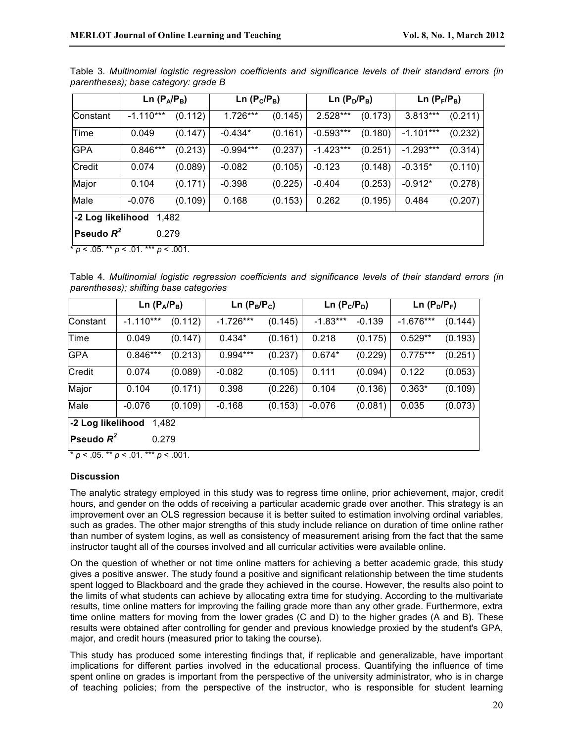|                                               |             | Ln $(P_A/P_B)$<br>Ln $(P_D/P_B)$<br>Ln $(P_C/P_B)$ |             |         | Ln $(P_F/P_B)$ |         |             |         |  |
|-----------------------------------------------|-------------|----------------------------------------------------|-------------|---------|----------------|---------|-------------|---------|--|
| Constant                                      | $-1.110***$ | (0.112)                                            | 1.726***    | (0.145) | 2.528***       | (0.173) | 3.813***    | (0.211) |  |
| Time                                          | 0.049       | (0.147)                                            | $-0.434*$   | (0.161) | $-0.593***$    | (0.180) | $-1.101***$ | (0.232) |  |
| <b>GPA</b>                                    | $0.846***$  | (0.213)                                            | $-0.994***$ | (0.237) | $-1.423***$    | (0.251) | $-1.293***$ | (0.314) |  |
| Credit                                        | 0.074       | (0.089)                                            | $-0.082$    | (0.105) | $-0.123$       | (0.148) | $-0.315*$   | (0.110) |  |
| Major                                         | 0.104       | (0.171)                                            | $-0.398$    | (0.225) | $-0.404$       | (0.253) | $-0.912*$   | (0.278) |  |
| Male                                          | $-0.076$    | (0.109)                                            | 0.168       | (0.153) | 0.262          | (0.195) | 0.484       | (0.207) |  |
| -2 Log likelihood<br>1,482                    |             |                                                    |             |         |                |         |             |         |  |
| Pseudo $R^2$<br>0.279                         |             |                                                    |             |         |                |         |             |         |  |
| * $p < .05$ . ** $p < .01$ . *** $p < .001$ . |             |                                                    |             |         |                |         |             |         |  |

Table 3. *Multinomial logistic regression coefficients and significance levels of their standard errors (in parentheses); base category: grade B*

Table 4. *Multinomial logistic regression coefficients and significance levels of their standard errors (in parentheses); shifting base categories*

|                                                                             | Ln $(P_A/P_B)$ |         | Ln $(P_B/P_C)$ |         | Ln $(P_C/P_D)$ |          | Ln $(P_D/P_F)$ |         |  |
|-----------------------------------------------------------------------------|----------------|---------|----------------|---------|----------------|----------|----------------|---------|--|
| Constant                                                                    | $-1.110***$    | (0.112) | $-1.726***$    | (0.145) | $-1.83***$     | $-0.139$ | $-1.676***$    | (0.144) |  |
| Time                                                                        | 0.049          | (0.147) | $0.434*$       | (0.161) | 0.218          | (0.175)  | $0.529**$      | (0.193) |  |
| <b>GPA</b>                                                                  | $0.846***$     | (0.213) | 0.994***       | (0.237) | $0.674*$       | (0.229)  | $0.775***$     | (0.251) |  |
| Credit                                                                      | 0.074          | (0.089) | $-0.082$       | (0.105) | 0.111          | (0.094)  | 0.122          | (0.053) |  |
| Major                                                                       | 0.104          | (0.171) | 0.398          | (0.226) | 0.104          | (0.136)  | $0.363*$       | (0.109) |  |
| Male                                                                        | $-0.076$       | (0.109) | $-0.168$       | (0.153) | $-0.076$       | (0.081)  | 0.035          | (0.073) |  |
| -2 Log likelihood<br>1.482                                                  |                |         |                |         |                |          |                |         |  |
| Pseudo $R^2$<br>0.279<br>$\sim$ $ -$<br>and dealers<br>$\sim$ $\sim$ $\sim$ |                |         |                |         |                |          |                |         |  |

\* *p* < .05. \*\* *p* < .01. \*\*\* *p* < .001.

# **Discussion**

The analytic strategy employed in this study was to regress time online, prior achievement, major, credit hours, and gender on the odds of receiving a particular academic grade over another. This strategy is an improvement over an OLS regression because it is better suited to estimation involving ordinal variables, such as grades. The other major strengths of this study include reliance on duration of time online rather than number of system logins, as well as consistency of measurement arising from the fact that the same instructor taught all of the courses involved and all curricular activities were available online.

On the question of whether or not time online matters for achieving a better academic grade, this study gives a positive answer. The study found a positive and significant relationship between the time students spent logged to Blackboard and the grade they achieved in the course. However, the results also point to the limits of what students can achieve by allocating extra time for studying. According to the multivariate results, time online matters for improving the failing grade more than any other grade. Furthermore, extra time online matters for moving from the lower grades (C and D) to the higher grades (A and B). These results were obtained after controlling for gender and previous knowledge proxied by the student's GPA, major, and credit hours (measured prior to taking the course).

This study has produced some interesting findings that, if replicable and generalizable, have important implications for different parties involved in the educational process. Quantifying the influence of time spent online on grades is important from the perspective of the university administrator, who is in charge of teaching policies; from the perspective of the instructor, who is responsible for student learning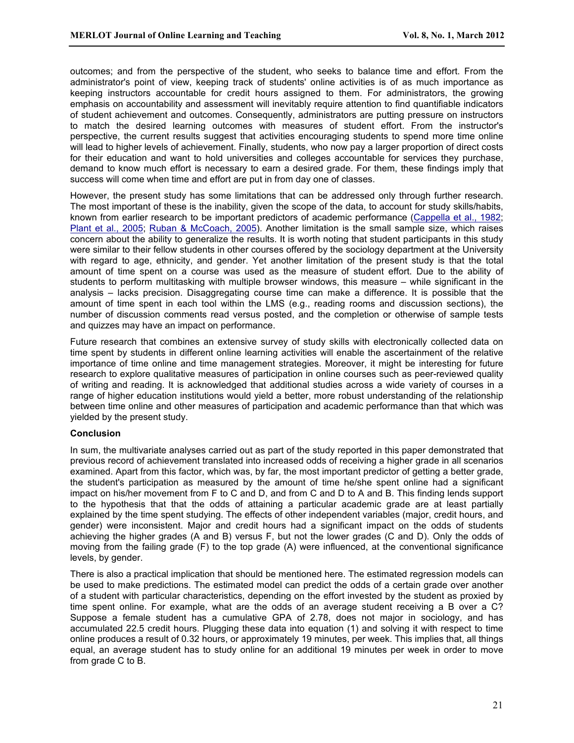outcomes; and from the perspective of the student, who seeks to balance time and effort. From the administrator's point of view, keeping track of students' online activities is of as much importance as keeping instructors accountable for credit hours assigned to them. For administrators, the growing emphasis on accountability and assessment will inevitably require attention to find quantifiable indicators of student achievement and outcomes. Consequently, administrators are putting pressure on instructors to match the desired learning outcomes with measures of student effort. From the instructor's perspective, the current results suggest that activities encouraging students to spend more time online will lead to higher levels of achievement. Finally, students, who now pay a larger proportion of direct costs for their education and want to hold universities and colleges accountable for services they purchase, demand to know much effort is necessary to earn a desired grade. For them, these findings imply that success will come when time and effort are put in from day one of classes.

However, the present study has some limitations that can be addressed only through further research. The most important of these is the inability, given the scope of the data, to account for study skills/habits, known from earlier research to be important predictors of academic performance (Cappella et al., 1982; Plant et al., 2005; Ruban & McCoach, 2005). Another limitation is the small sample size, which raises concern about the ability to generalize the results. It is worth noting that student participants in this study were similar to their fellow students in other courses offered by the sociology department at the University with regard to age, ethnicity, and gender. Yet another limitation of the present study is that the total amount of time spent on a course was used as the measure of student effort. Due to the ability of students to perform multitasking with multiple browser windows, this measure – while significant in the analysis – lacks precision. Disaggregating course time can make a difference. It is possible that the amount of time spent in each tool within the LMS (e.g., reading rooms and discussion sections), the number of discussion comments read versus posted, and the completion or otherwise of sample tests and quizzes may have an impact on performance.

Future research that combines an extensive survey of study skills with electronically collected data on time spent by students in different online learning activities will enable the ascertainment of the relative importance of time online and time management strategies. Moreover, it might be interesting for future research to explore qualitative measures of participation in online courses such as peer-reviewed quality of writing and reading. It is acknowledged that additional studies across a wide variety of courses in a range of higher education institutions would yield a better, more robust understanding of the relationship between time online and other measures of participation and academic performance than that which was yielded by the present study.

# **Conclusion**

In sum, the multivariate analyses carried out as part of the study reported in this paper demonstrated that previous record of achievement translated into increased odds of receiving a higher grade in all scenarios examined. Apart from this factor, which was, by far, the most important predictor of getting a better grade, the student's participation as measured by the amount of time he/she spent online had a significant impact on his/her movement from F to C and D, and from C and D to A and B. This finding lends support to the hypothesis that that the odds of attaining a particular academic grade are at least partially explained by the time spent studying. The effects of other independent variables (major, credit hours, and gender) were inconsistent. Major and credit hours had a significant impact on the odds of students achieving the higher grades (A and B) versus F, but not the lower grades (C and D). Only the odds of moving from the failing grade (F) to the top grade (A) were influenced, at the conventional significance levels, by gender.

There is also a practical implication that should be mentioned here. The estimated regression models can be used to make predictions. The estimated model can predict the odds of a certain grade over another of a student with particular characteristics, depending on the effort invested by the student as proxied by time spent online. For example, what are the odds of an average student receiving a B over a C? Suppose a female student has a cumulative GPA of 2.78, does not major in sociology, and has accumulated 22.5 credit hours. Plugging these data into equation (1) and solving it with respect to time online produces a result of 0.32 hours, or approximately 19 minutes, per week. This implies that, all things equal, an average student has to study online for an additional 19 minutes per week in order to move from grade C to B.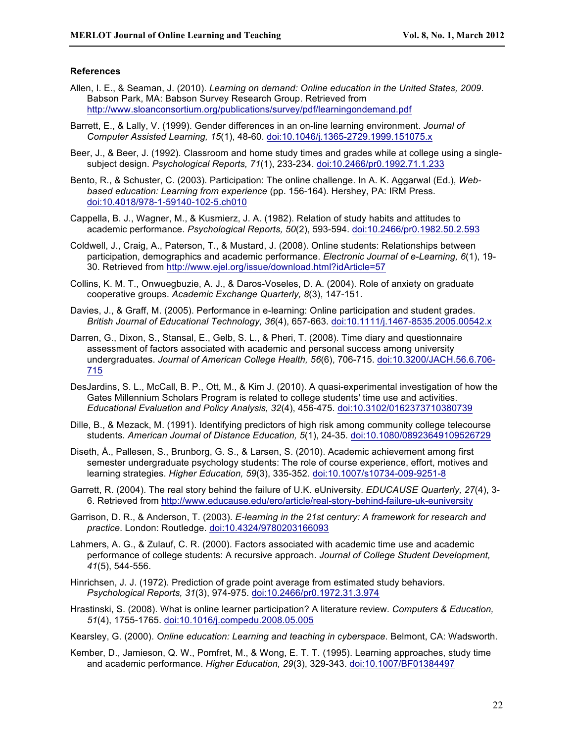## **References**

- Allen, I. E., & Seaman, J. (2010). *Learning on demand: Online education in the United States, 2009*. Babson Park, MA: Babson Survey Research Group. Retrieved from http://www.sloanconsortium.org/publications/survey/pdf/learningondemand.pdf
- Barrett, E., & Lally, V. (1999). Gender differences in an on-line learning environment. *Journal of Computer Assisted Learning, 15*(1), 48-60. doi:10.1046/j.1365-2729.1999.151075.x
- Beer, J., & Beer, J. (1992). Classroom and home study times and grades while at college using a singlesubject design. *Psychological Reports, 71*(1), 233-234. doi:10.2466/pr0.1992.71.1.233
- Bento, R., & Schuster, C. (2003). Participation: The online challenge. In A. K. Aggarwal (Ed.), *Webbased education: Learning from experience* (pp. 156-164). Hershey, PA: IRM Press. doi:10.4018/978-1-59140-102-5.ch010
- Cappella, B. J., Wagner, M., & Kusmierz, J. A. (1982). Relation of study habits and attitudes to academic performance. *Psychological Reports, 50*(2), 593-594. doi:10.2466/pr0.1982.50.2.593
- Coldwell, J., Craig, A., Paterson, T., & Mustard, J. (2008). Online students: Relationships between participation, demographics and academic performance. *Electronic Journal of e-Learning, 6*(1), 19- 30. Retrieved from http://www.ejel.org/issue/download.html?idArticle=57
- Collins, K. M. T., Onwuegbuzie, A. J., & Daros-Voseles, D. A. (2004). Role of anxiety on graduate cooperative groups. *Academic Exchange Quarterly, 8*(3), 147-151.
- Davies, J., & Graff, M. (2005). Performance in e-learning: Online participation and student grades. *British Journal of Educational Technology, 36*(4), 657-663. doi:10.1111/j.1467-8535.2005.00542.x
- Darren, G., Dixon, S., Stansal, E., Gelb, S. L., & Pheri, T. (2008). Time diary and questionnaire assessment of factors associated with academic and personal success among university undergraduates. *Journal of American College Health, 56*(6), 706-715. doi:10.3200/JACH.56.6.706- 715
- DesJardins, S. L., McCall, B. P., Ott, M., & Kim J. (2010). A quasi-experimental investigation of how the Gates Millennium Scholars Program is related to college students' time use and activities. *Educational Evaluation and Policy Analysis, 32*(4), 456-475. doi:10.3102/0162373710380739
- Dille, B., & Mezack, M. (1991). Identifying predictors of high risk among community college telecourse students. *American Journal of Distance Education, 5*(1), 24-35. doi:10.1080/08923649109526729
- Diseth, Å., Pallesen, S., Brunborg, G. S., & Larsen, S. (2010). Academic achievement among first semester undergraduate psychology students: The role of course experience, effort, motives and learning strategies. *Higher Education, 59*(3), 335-352. doi:10.1007/s10734-009-9251-8
- Garrett, R. (2004). The real story behind the failure of U.K. eUniversity. *EDUCAUSE Quarterly, 27*(4), 3- 6. Retrieved from http://www.educause.edu/ero/article/real-story-behind-failure-uk-euniversity
- Garrison, D. R., & Anderson, T. (2003). *E-learning in the 21st century: A framework for research and practice*. London: Routledge. doi:10.4324/9780203166093
- Lahmers, A. G., & Zulauf, C. R. (2000). Factors associated with academic time use and academic performance of college students: A recursive approach. *Journal of College Student Development, 41*(5), 544-556.
- Hinrichsen, J. J. (1972). Prediction of grade point average from estimated study behaviors. *Psychological Reports, 31*(3), 974-975. doi:10.2466/pr0.1972.31.3.974
- Hrastinski, S. (2008). What is online learner participation? A literature review. *Computers & Education, 51*(4), 1755-1765. doi:10.1016/j.compedu.2008.05.005

Kearsley, G. (2000). *Online education: Learning and teaching in cyberspace*. Belmont, CA: Wadsworth.

Kember, D., Jamieson, Q. W., Pomfret, M., & Wong, E. T. T. (1995). Learning approaches, study time and academic performance. *Higher Education, 29*(3), 329-343. doi:10.1007/BF01384497